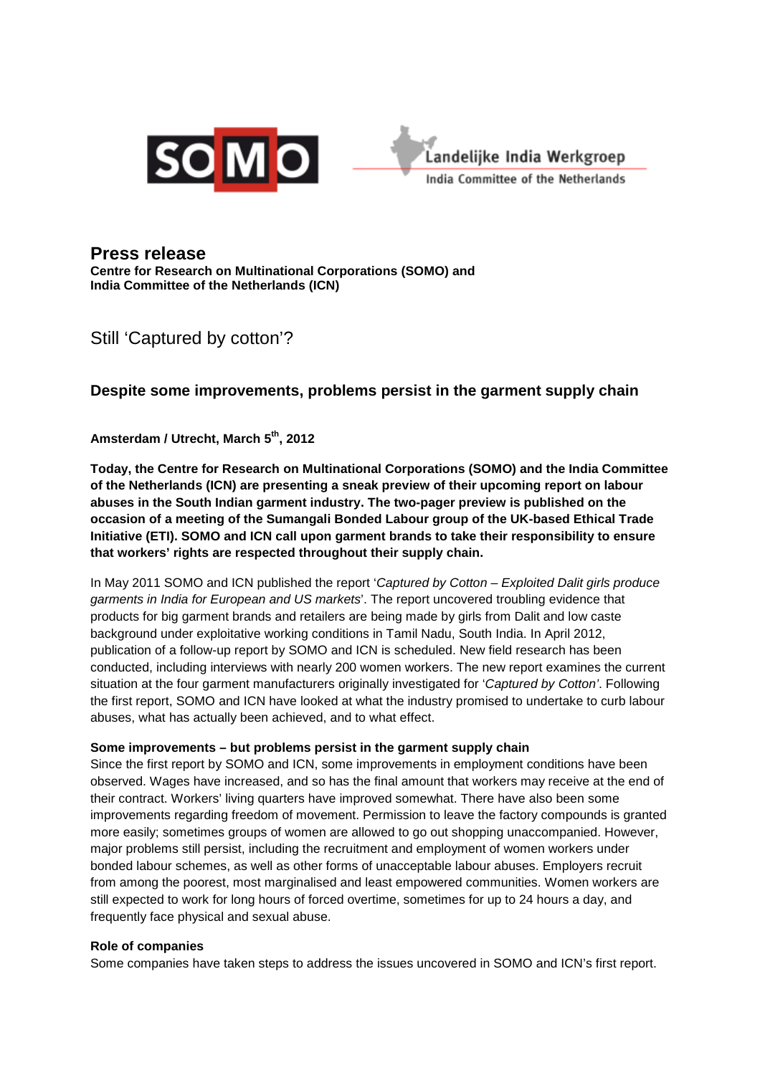



## **Press release**

**Centre for Research on Multinational Corporations (SOMO) and India Committee of the Netherlands (ICN)**

# Still 'Captured by cotton'?

### **Despite some improvements, problems persist in the garment supply chain**

**Amsterdam / Utrecht, March 5th, 2012** 

**Today, the Centre for Research on Multinational Corporations (SOMO) and the India Committee of the Netherlands (ICN) are presenting a sneak preview of their upcoming report on labour abuses in the South Indian garment industry. The two-pager preview is published on the occasion of a meeting of the Sumangali Bonded Labour group of the UK-based Ethical Trade Initiative (ETI). SOMO and ICN call upon garment brands to take their responsibility to ensure that workers' rights are respected throughout their supply chain.** 

In May 2011 SOMO and ICN published the report 'Captured by Cotton – Exploited Dalit girls produce garments in India for European and US markets'. The report uncovered troubling evidence that products for big garment brands and retailers are being made by girls from Dalit and low caste background under exploitative working conditions in Tamil Nadu, South India. In April 2012, publication of a follow-up report by SOMO and ICN is scheduled. New field research has been conducted, including interviews with nearly 200 women workers. The new report examines the current situation at the four garment manufacturers originally investigated for 'Captured by Cotton'. Following the first report, SOMO and ICN have looked at what the industry promised to undertake to curb labour abuses, what has actually been achieved, and to what effect.

#### **Some improvements – but problems persist in the garment supply chain**

Since the first report by SOMO and ICN, some improvements in employment conditions have been observed. Wages have increased, and so has the final amount that workers may receive at the end of their contract. Workers' living quarters have improved somewhat. There have also been some improvements regarding freedom of movement. Permission to leave the factory compounds is granted more easily; sometimes groups of women are allowed to go out shopping unaccompanied. However, major problems still persist, including the recruitment and employment of women workers under bonded labour schemes, as well as other forms of unacceptable labour abuses. Employers recruit from among the poorest, most marginalised and least empowered communities. Women workers are still expected to work for long hours of forced overtime, sometimes for up to 24 hours a day, and frequently face physical and sexual abuse.

#### **Role of companies**

Some companies have taken steps to address the issues uncovered in SOMO and ICN's first report.